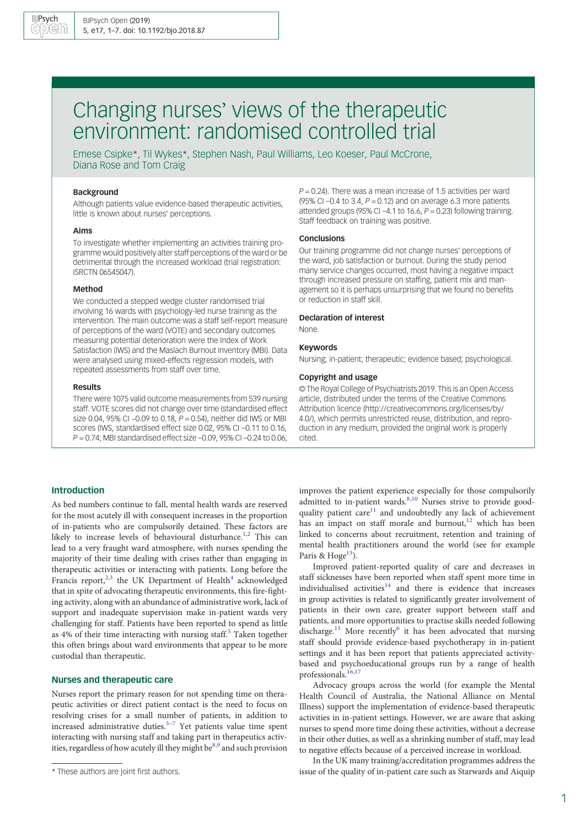# Changing nurses' views of the therapeutic environment: randomised controlled trial

Emese Csipke\*, Til Wykes\*, Stephen Nash, Paul Williams, Leo Koeser, Paul McCrone, Diana Rose and Tom Craig

#### Background

Although patients value evidence-based therapeutic activities, little is known about nurses' perceptions.

## Aims

To investigate whether implementing an activities training programme would positively alter staff perceptions of the ward or be detrimental through the increased workload (trial registration: ISRCTN 06545047).

## Method

We conducted a stepped wedge cluster randomised trial involving 16 wards with psychology-led nurse training as the intervention. The main outcome was a staff self-report measure of perceptions of the ward (VOTE) and secondary outcomes measuring potential deterioration were the Index of Work Satisfaction (IWS) and the Maslach Burnout Inventory (MBI). Data were analysed using mixed-effects regression models, with repeated assessments from staff over time.

#### Results

There were 1075 valid outcome measurements from 539 nursing staff. VOTE scores did not change over time (standardised effect size 0.04, 95% CI –0.09 to 0.18,  $P = 0.54$ ), neither did IWS or MBI scores (IWS, standardised effect size 0.02, 95% CI –0.11 to 0.16,  $P = 0.74$ ; MBI standardised effect size  $-0.09$ , 95% CI $-0.24$  to 0.06,

# Introduction

As bed numbers continue to fall, mental health wards are reserved for the most acutely ill with consequent increases in the proportion of in-patients who are compulsorily detained. These factors are likely to increase levels of behavioural disturbance.<sup>[1](#page-5-0),[2](#page-5-0)</sup> This can lead to a very fraught ward atmosphere, with nurses spending the majority of their time dealing with crises rather than engaging in therapeutic activities or interacting with patients. Long before the Francis report, $2,3$  $2,3$  $2,3$  the UK Department of Health<sup>4</sup> acknowledged that in spite of advocating therapeutic environments, this fire-fighting activity, along with an abundance of administrative work, lack of support and inadequate supervision make in-patient wards very challenging for staff. Patients have been reported to spend as little as  $4\%$  of their time interacting with nursing staff.<sup>[5](#page-5-0)</sup> Taken together this often brings about ward environments that appear to be more custodial than therapeutic.

## Nurses and therapeutic care

Nurses report the primary reason for not spending time on therapeutic activities or direct patient contact is the need to focus on resolving crises for a small number of patients, in addition to increased administrative duties.<sup>[5](#page-5-0)-[7](#page-5-0)</sup> Yet patients value time spent interacting with nursing staff and taking part in therapeutics activ-ities, regardless of how acutely ill they might be<sup>8,[9](#page-5-0)</sup> and such provision  $P = 0.24$ ). There was a mean increase of 1.5 activities per ward (95% CI –0.4 to 3.4,  $P = 0.12$ ) and on average 6.3 more patients attended groups (95% CI –4.1 to 16.6,  $P = 0.23$ ) following training. Staff feedback on training was positive.

#### Conclusions

Our training programme did not change nurses' perceptions of the ward, job satisfaction or burnout. During the study period many service changes occurred, most having a negative impact through increased pressure on staffing, patient mix and management so it is perhaps unsurprising that we found no benefits or reduction in staff skill.

#### Declaration of interest

None.

# Keywords

Nursing; in-patient; therapeutic; evidence based; psychological.

#### Copyright and usage

© The Royal College of Psychiatrists 2019. This is an Open Access article, distributed under the terms of the Creative Commons Attribution licence (http://creativecommons.org/licenses/by/ 4.0/), which permits unrestricted reuse, distribution, and reproduction in any medium, provided the original work is properly cited.

improves the patient experience especially for those compulsorily admitted to in-patient wards.<sup>8,[10](#page-5-0)</sup> Nurses strive to provide good-quality patient care<sup>[11](#page-5-0)</sup> and undoubtedly any lack of achievement has an impact on staff morale and burnout,<sup>12</sup> which has been linked to concerns about recruitment, retention and training of mental health practitioners around the world (see for example Paris &  $Hoge<sup>13</sup>$ ).

Improved patient-reported quality of care and decreases in staff sicknesses have been reported when staff spent more time in individualised activities $14$  and there is evidence that increases in group activities is related to significantly greater involvement of patients in their own care, greater support between staff and patients, and more opportunities to practise skills needed following discharge.<sup>[15](#page-6-0)</sup> More recently<sup>[6](#page-5-0)</sup> it has been advocated that nursing staff should provide evidence-based psychotherapy in in-patient settings and it has been report that patients appreciated activitybased and psychoeducational groups run by a range of health professionals.<sup>[16](#page-6-0),[17](#page-6-0)</sup>

Advocacy groups across the world (for example the Mental Health Council of Australia, the National Alliance on Mental Illness) support the implementation of evidence-based therapeutic activities in in-patient settings. However, we are aware that asking nurses to spend more time doing these activities, without a decrease in their other duties, as well as a shrinking number of staff, may lead to negative effects because of a perceived increase in workload.

In the UK many training/accreditation programmes address the \* These authors are joint first authors. issue of the quality of in-patient care such as Starwards and Aiquip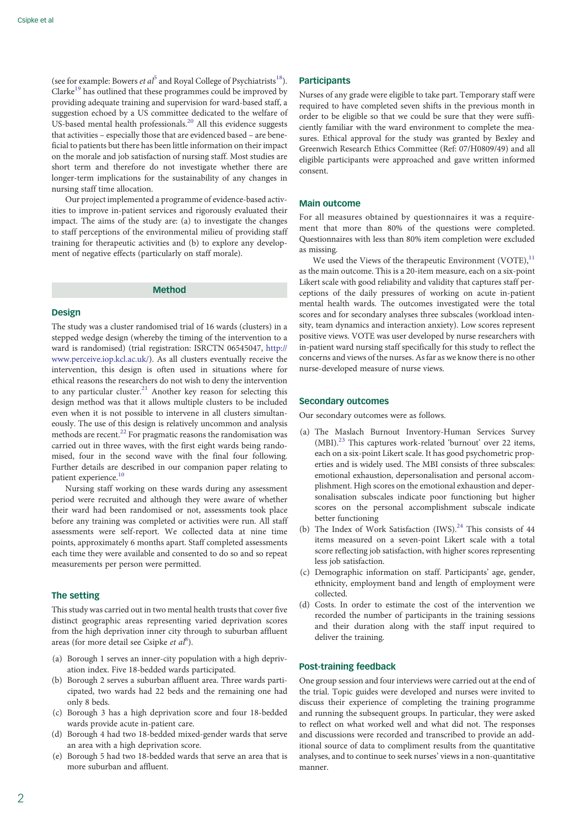(see for example: Bowers *et al*<sup>[5](#page-5-0)</sup> and Royal College of Psychiatrists<sup>[18](#page-6-0)</sup>). Clarke<sup>[19](#page-6-0)</sup> has outlined that these programmes could be improved by providing adequate training and supervision for ward-based staff, a suggestion echoed by a US committee dedicated to the welfare of US-based mental health professionals.<sup>[20](#page-6-0)</sup> All this evidence suggests that activities – especially those that are evidenced based – are beneficial to patients but there has been little information on their impact on the morale and job satisfaction of nursing staff. Most studies are short term and therefore do not investigate whether there are longer-term implications for the sustainability of any changes in nursing staff time allocation.

Our project implemented a programme of evidence-based activities to improve in-patient services and rigorously evaluated their impact. The aims of the study are: (a) to investigate the changes to staff perceptions of the environmental milieu of providing staff training for therapeutic activities and (b) to explore any development of negative effects (particularly on staff morale).

# Method

#### Design

The study was a cluster randomised trial of 16 wards (clusters) in a stepped wedge design (whereby the timing of the intervention to a ward is randomised) (trial registration: ISRCTN 06545047, [http://](http://www.perceive.iop.kcl.ac.uk/) [www.perceive.iop.kcl.ac.uk/\)](http://www.perceive.iop.kcl.ac.uk/). As all clusters eventually receive the intervention, this design is often used in situations where for ethical reasons the researchers do not wish to deny the intervention to any particular cluster.<sup>21</sup> Another key reason for selecting this design method was that it allows multiple clusters to be included even when it is not possible to intervene in all clusters simultaneously. The use of this design is relatively uncommon and analysis methods are recent.<sup>[22](#page-6-0)</sup> For pragmatic reasons the randomisation was carried out in three waves, with the first eight wards being randomised, four in the second wave with the final four following. Further details are described in our companion paper relating to patient experience.<sup>[10](#page-5-0)</sup>

Nursing staff working on these wards during any assessment period were recruited and although they were aware of whether their ward had been randomised or not, assessments took place before any training was completed or activities were run. All staff assessments were self-report. We collected data at nine time points, approximately 6 months apart. Staff completed assessments each time they were available and consented to do so and so repeat measurements per person were permitted.

# The setting

This study was carried out in two mental health trusts that cover five distinct geographic areas representing varied deprivation scores from the high deprivation inner city through to suburban affluent areas (for more detail see Csipke et  $al^8$  $al^8$ ).

- (a) Borough 1 serves an inner-city population with a high deprivation index. Five 18-bedded wards participated.
- (b) Borough 2 serves a suburban affluent area. Three wards participated, two wards had 22 beds and the remaining one had only 8 beds.
- (c) Borough 3 has a high deprivation score and four 18-bedded wards provide acute in-patient care.
- (d) Borough 4 had two 18-bedded mixed-gender wards that serve an area with a high deprivation score.
- (e) Borough 5 had two 18-bedded wards that serve an area that is more suburban and affluent.

# **Participants**

Nurses of any grade were eligible to take part. Temporary staff were required to have completed seven shifts in the previous month in order to be eligible so that we could be sure that they were sufficiently familiar with the ward environment to complete the measures. Ethical approval for the study was granted by Bexley and Greenwich Research Ethics Committee (Ref: 07/H0809/49) and all eligible participants were approached and gave written informed consent.

## Main outcome

For all measures obtained by questionnaires it was a requirement that more than 80% of the questions were completed. Questionnaires with less than 80% item completion were excluded as missing.

We used the Views of the therapeutic Environment  $(VOTE)$ ,<sup>11</sup> as the main outcome. This is a 20-item measure, each on a six-point Likert scale with good reliability and validity that captures staff perceptions of the daily pressures of working on acute in-patient mental health wards. The outcomes investigated were the total scores and for secondary analyses three subscales (workload intensity, team dynamics and interaction anxiety). Low scores represent positive views. VOTE was user developed by nurse researchers with in-patient ward nursing staff specifically for this study to reflect the concerns and views of the nurses. As far as we know there is no other nurse-developed measure of nurse views.

#### Secondary outcomes

Our secondary outcomes were as follows.

- (a) The Maslach Burnout Inventory-Human Services Survey  $(MBI).<sup>23</sup>$  $(MBI).<sup>23</sup>$  $(MBI).<sup>23</sup>$  This captures work-related 'burnout' over 22 items, each on a six-point Likert scale. It has good psychometric properties and is widely used. The MBI consists of three subscales: emotional exhaustion, depersonalisation and personal accomplishment. High scores on the emotional exhaustion and depersonalisation subscales indicate poor functioning but higher scores on the personal accomplishment subscale indicate better functioning
- (b) The Index of Work Satisfaction  $(IWS)^{24}$  $(IWS)^{24}$  $(IWS)^{24}$  This consists of 44 items measured on a seven-point Likert scale with a total score reflecting job satisfaction, with higher scores representing less job satisfaction.
- (c) Demographic information on staff. Participants' age, gender, ethnicity, employment band and length of employment were collected.
- (d) Costs. In order to estimate the cost of the intervention we recorded the number of participants in the training sessions and their duration along with the staff input required to deliver the training.

## Post-training feedback

One group session and four interviews were carried out at the end of the trial. Topic guides were developed and nurses were invited to discuss their experience of completing the training programme and running the subsequent groups. In particular, they were asked to reflect on what worked well and what did not. The responses and discussions were recorded and transcribed to provide an additional source of data to compliment results from the quantitative analyses, and to continue to seek nurses' views in a non-quantitative manner.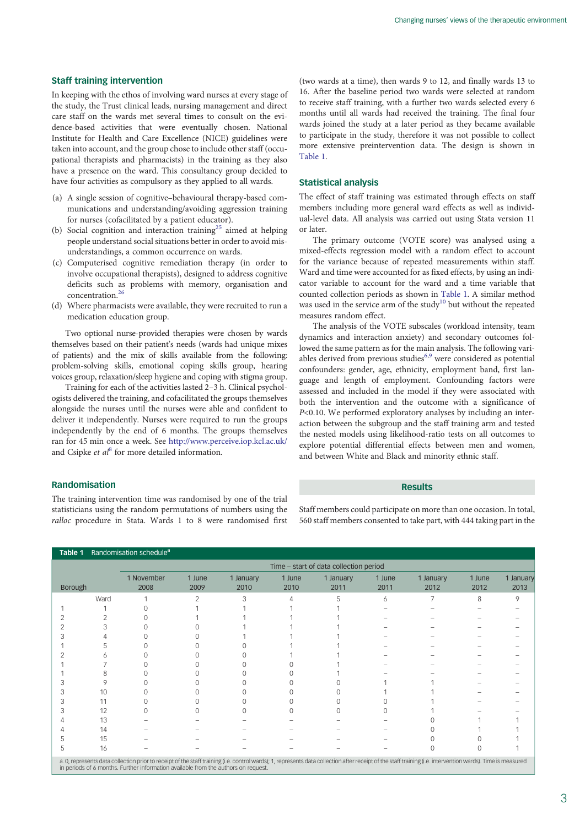# Staff training intervention

In keeping with the ethos of involving ward nurses at every stage of the study, the Trust clinical leads, nursing management and direct care staff on the wards met several times to consult on the evidence-based activities that were eventually chosen. National Institute for Health and Care Excellence (NICE) guidelines were taken into account, and the group chose to include other staff (occupational therapists and pharmacists) in the training as they also have a presence on the ward. This consultancy group decided to have four activities as compulsory as they applied to all wards.

- (a) A single session of cognitive–behavioural therapy-based communications and understanding/avoiding aggression training for nurses (cofacilitated by a patient educator).
- (b) Social cognition and interaction training<sup>25</sup> aimed at helping people understand social situations better in order to avoid misunderstandings, a common occurrence on wards.
- (c) Computerised cognitive remediation therapy (in order to involve occupational therapists), designed to address cognitive deficits such as problems with memory, organisation and concentration.[26](#page-6-0)
- (d) Where pharmacists were available, they were recruited to run a medication education group.

Two optional nurse-provided therapies were chosen by wards themselves based on their patient's needs (wards had unique mixes of patients) and the mix of skills available from the following: problem-solving skills, emotional coping skills group, hearing voices group, relaxation/sleep hygiene and coping with stigma group.

Training for each of the activities lasted 2–3 h. Clinical psychologists delivered the training, and cofacilitated the groups themselves alongside the nurses until the nurses were able and confident to deliver it independently. Nurses were required to run the groups independently by the end of 6 months. The groups themselves ran for 45 min once a week. See <http://www.perceive.iop.kcl.ac.uk/> and Csipke  $et$   $al^8$  $al^8$  for more detailed information.

(two wards at a time), then wards 9 to 12, and finally wards 13 to 16. After the baseline period two wards were selected at random to receive staff training, with a further two wards selected every 6 months until all wards had received the training. The final four wards joined the study at a later period as they became available to participate in the study, therefore it was not possible to collect more extensive preintervention data. The design is shown in Table 1.

## Statistical analysis

The effect of staff training was estimated through effects on staff members including more general ward effects as well as individual-level data. All analysis was carried out using Stata version 11 or later.

The primary outcome (VOTE score) was analysed using a mixed-effects regression model with a random effect to account for the variance because of repeated measurements within staff. Ward and time were accounted for as fixed effects, by using an indicator variable to account for the ward and a time variable that counted collection periods as shown in Table 1. A similar method was used in the service arm of the study<sup>10</sup> but without the repeated measures random effect.

The analysis of the VOTE subscales (workload intensity, team dynamics and interaction anxiety) and secondary outcomes followed the same pattern as for the main analysis. The following vari-ables derived from previous studies<sup>[6](#page-5-0),[9](#page-5-0)</sup> were considered as potential confounders: gender, age, ethnicity, employment band, first language and length of employment. Confounding factors were assessed and included in the model if they were associated with both the intervention and the outcome with a significance of P<0.10. We performed exploratory analyses by including an interaction between the subgroup and the staff training arm and tested the nested models using likelihood-ratio tests on all outcomes to explore potential differential effects between men and women, and between White and Black and minority ethnic staff.

## Results

The training intervention time was randomised by one of the trial statisticians using the random permutations of numbers using the ralloc procedure in Stata. Wards 1 to 8 were randomised first

Randomisation

Staff members could participate on more than one occasion. In total, 560 staff members consented to take part, with 444 taking part in the

| Table 1                                                                                                                                                                                                                                                                                           |      | Randomisation schedule <sup>a</sup>    |                |                   |                |                   |                |                   |                |                   |
|---------------------------------------------------------------------------------------------------------------------------------------------------------------------------------------------------------------------------------------------------------------------------------------------------|------|----------------------------------------|----------------|-------------------|----------------|-------------------|----------------|-------------------|----------------|-------------------|
|                                                                                                                                                                                                                                                                                                   |      | Time - start of data collection period |                |                   |                |                   |                |                   |                |                   |
| <b>Borough</b>                                                                                                                                                                                                                                                                                    |      | 1 November<br>2008                     | 1 June<br>2009 | 1 January<br>2010 | 1 June<br>2010 | 1 January<br>2011 | 1 June<br>2011 | 1 January<br>2012 | 1 June<br>2012 | 1 January<br>2013 |
|                                                                                                                                                                                                                                                                                                   | Ward |                                        |                |                   |                |                   | 6              |                   | 8              | 9                 |
|                                                                                                                                                                                                                                                                                                   |      |                                        |                |                   |                |                   |                |                   |                |                   |
|                                                                                                                                                                                                                                                                                                   |      |                                        |                |                   |                |                   |                |                   |                |                   |
|                                                                                                                                                                                                                                                                                                   |      |                                        |                |                   |                |                   |                |                   |                |                   |
|                                                                                                                                                                                                                                                                                                   |      |                                        |                |                   |                |                   |                |                   |                |                   |
|                                                                                                                                                                                                                                                                                                   |      |                                        |                |                   |                |                   |                |                   |                |                   |
|                                                                                                                                                                                                                                                                                                   |      |                                        |                |                   |                |                   |                |                   |                |                   |
|                                                                                                                                                                                                                                                                                                   |      |                                        |                |                   |                |                   |                |                   |                |                   |
|                                                                                                                                                                                                                                                                                                   |      |                                        |                |                   |                |                   |                |                   |                |                   |
|                                                                                                                                                                                                                                                                                                   |      |                                        |                |                   |                |                   |                |                   |                |                   |
|                                                                                                                                                                                                                                                                                                   | 10   |                                        |                |                   |                |                   |                |                   |                |                   |
|                                                                                                                                                                                                                                                                                                   | 11   |                                        |                |                   |                |                   |                |                   |                |                   |
|                                                                                                                                                                                                                                                                                                   | 12   |                                        |                |                   |                |                   |                |                   |                |                   |
|                                                                                                                                                                                                                                                                                                   | 13   |                                        |                |                   |                |                   |                |                   |                |                   |
|                                                                                                                                                                                                                                                                                                   | 14   |                                        |                |                   |                |                   |                |                   |                |                   |
|                                                                                                                                                                                                                                                                                                   | 15   |                                        |                |                   |                |                   |                |                   |                |                   |
|                                                                                                                                                                                                                                                                                                   | 16   |                                        |                |                   |                |                   |                |                   |                |                   |
| a. 0, represents data collection prior to receipt of the staff training (i.e. control wards); 1, represents data collection after receipt of the staff training (i.e. intervention wards). Time is measured<br>in periods of 6 months. Further information available from the authors on request. |      |                                        |                |                   |                |                   |                |                   |                |                   |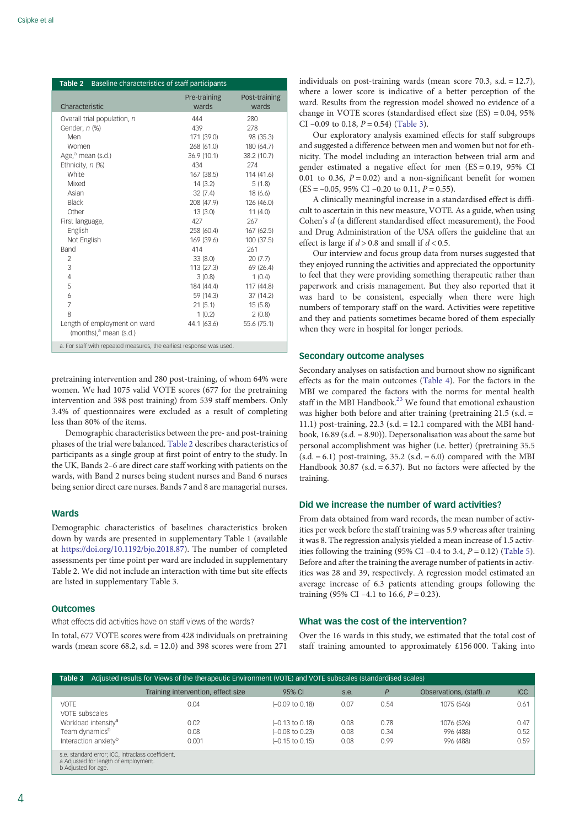| Baseline characteristics of staff participants<br>Table 2            |                       |                        |  |  |  |  |
|----------------------------------------------------------------------|-----------------------|------------------------|--|--|--|--|
| Characteristic                                                       | Pre-training<br>wards | Post-training<br>wards |  |  |  |  |
| Overall trial population, n                                          | 444                   | 280                    |  |  |  |  |
| Gender, n (%)                                                        | 439                   | 278                    |  |  |  |  |
| Men                                                                  | 171 (39.0)            | 98 (35.3)              |  |  |  |  |
| Women                                                                | 268 (61.0)            | 180 (64.7)             |  |  |  |  |
| Age, <sup>a</sup> mean (s.d.)                                        | 36.9 (10.1)           | 38.2 (10.7)            |  |  |  |  |
| Ethnicity, n (%)                                                     | 434                   | 274                    |  |  |  |  |
| White                                                                | 167 (38.5)            | 114 (41.6)             |  |  |  |  |
| Mixed                                                                | 14(3.2)               | 5(1.8)                 |  |  |  |  |
| Asian                                                                | 32(7.4)               | 18 (6.6)               |  |  |  |  |
| <b>Black</b>                                                         | 208 (47.9)            | 126 (46.0)             |  |  |  |  |
| Other                                                                | 13(3.0)               | 11(4.0)                |  |  |  |  |
| First language,                                                      | 427                   | 267                    |  |  |  |  |
| English                                                              | 258 (60.4)            | 167 (62.5)             |  |  |  |  |
| Not English                                                          | 169 (39.6)            | 100 (37.5)             |  |  |  |  |
| Band                                                                 | 414                   | 261                    |  |  |  |  |
| 2                                                                    | 33(8.0)               | 20(7.7)                |  |  |  |  |
| 3                                                                    | 113(27.3)             | 69 (26.4)              |  |  |  |  |
| 4                                                                    | 3(0.8)                | 1(0.4)                 |  |  |  |  |
| 5                                                                    | 184 (44.4)            | 117 (44.8)             |  |  |  |  |
| 6                                                                    | 59 (14.3)             | 37 (14.2)              |  |  |  |  |
| 7                                                                    | 21(5.1)               | 15(5.8)                |  |  |  |  |
| 8                                                                    | 1(0.2)                | 2(0.8)                 |  |  |  |  |
| Length of employment on ward<br>(months), <sup>a</sup> mean (s.d.)   | 44.1 (63.6)           | 55.6 (75.1)            |  |  |  |  |
| a. For staff with repeated measures, the earliest response was used. |                       |                        |  |  |  |  |

pretraining intervention and 280 post-training, of whom 64% were women. We had 1075 valid VOTE scores (677 for the pretraining intervention and 398 post training) from 539 staff members. Only 3.4% of questionnaires were excluded as a result of completing less than 80% of the items.

Demographic characteristics between the pre- and post-training phases of the trial were balanced. Table 2 describes characteristics of participants as a single group at first point of entry to the study. In the UK, Bands 2–6 are direct care staff working with patients on the wards, with Band 2 nurses being student nurses and Band 6 nurses being senior direct care nurses. Bands 7 and 8 are managerial nurses.

# Wards

Demographic characteristics of baselines characteristics broken down by wards are presented in supplementary Table 1 (available at <https://doi.org/10.1192/bjo.2018.87>). The number of completed assessments per time point per ward are included in supplementary Table 2. We did not include an interaction with time but site effects are listed in supplementary Table 3.

#### **Outcomes**

What effects did activities have on staff views of the wards?

individuals on post-training wards (mean score 70.3, s.d. = 12.7), where a lower score is indicative of a better perception of the ward. Results from the regression model showed no evidence of a change in VOTE scores (standardised effect size (ES) = 0.04, 95% CI  $-0.09$  to 0.18,  $P = 0.54$ ) (Table 3).

Our exploratory analysis examined effects for staff subgroups and suggested a difference between men and women but not for ethnicity. The model including an interaction between trial arm and gender estimated a negative effect for men  $(ES = 0.19, 95\% \text{ CI})$ 0.01 to 0.36,  $P = 0.02$ ) and a non-significant benefit for women  $(ES = -0.05, 95\% \text{ CI} -0.20 \text{ to } 0.11, P = 0.55).$ 

A clinically meaningful increase in a standardised effect is difficult to ascertain in this new measure, VOTE. As a guide, when using Cohen's d (a different standardised effect measurement), the Food and Drug Administration of the USA offers the guideline that an effect is large if  $d > 0.8$  and small if  $d < 0.5$ .

Our interview and focus group data from nurses suggested that they enjoyed running the activities and appreciated the opportunity to feel that they were providing something therapeutic rather than paperwork and crisis management. But they also reported that it was hard to be consistent, especially when there were high numbers of temporary staff on the ward. Activities were repetitive and they and patients sometimes became bored of them especially when they were in hospital for longer periods.

### Secondary outcome analyses

Secondary analyses on satisfaction and burnout show no significant effects as for the main outcomes [\(Table 4\)](#page-4-0). For the factors in the MBI we compared the factors with the norms for mental health staff in the MBI Handbook.<sup>[23](#page-6-0)</sup> We found that emotional exhaustion was higher both before and after training (pretraining 21.5 (s.d. = 11.1) post-training, 22.3 (s.d.  $= 12.1$  compared with the MBI handbook, 16.89 (s.d. = 8.90)). Depersonalisation was about the same but personal accomplishment was higher (i.e. better) (pretraining 35.5  $(s.d. = 6.1)$  post-training, 35.2  $(s.d. = 6.0)$  compared with the MBI Handbook  $30.87$  (s.d. = 6.37). But no factors were affected by the training.

# Did we increase the number of ward activities?

From data obtained from ward records, the mean number of activities per week before the staff training was 5.9 whereas after training it was 8. The regression analysis yielded a mean increase of 1.5 activities following the training (95% CI –0.4 to 3.4,  $P = 0.12$ ) ([Table 5](#page-4-0)). Before and after the training the average number of patients in activities was 28 and 39, respectively. A regression model estimated an average increase of 6.3 patients attending groups following the training (95% CI –4.1 to 16.6,  $P = 0.23$ ).

## What was the cost of the intervention?

In total, 677 VOTE scores were from 428 individuals on pretraining wards (mean score  $68.2$ , s.d. = 12.0) and 398 scores were from 271

Over the 16 wards in this study, we estimated that the total cost of staff training amounted to approximately £156 000. Taking into

| Adjusted results for Views of the therapeutic Environment (VOTE) and VOTE subscales (standardised scales)<br>Table 3 |                                    |                            |      |      |                          |            |
|----------------------------------------------------------------------------------------------------------------------|------------------------------------|----------------------------|------|------|--------------------------|------------|
|                                                                                                                      | Training intervention, effect size | 95% CI                     | s.e. | P    | Observations, (staff). n | <b>ICC</b> |
| <b>VOTF</b>                                                                                                          | 0.04                               | $(-0.09 \text{ to } 0.18)$ | 0.07 | 0.54 | 1075 (546)               | 0.61       |
| VOTE subscales                                                                                                       |                                    |                            |      |      |                          |            |
| Workload intensity <sup>a</sup>                                                                                      | 0.02                               | $(-0.13 \text{ to } 0.18)$ | 0.08 | 0.78 | 1076 (526)               | 0.47       |
| Team dynamics <sup>b</sup>                                                                                           | 0.08                               | $(-0.08 \text{ to } 0.23)$ | 0.08 | 0.34 | 996 (488)                | 0.52       |
| Interaction anxiety <sup>b</sup>                                                                                     | 0.001                              | $(-0.15 \text{ to } 0.15)$ | 0.08 | 0.99 | 996 (488)                | 0.59       |
| s.e. standard error; ICC, intraclass coefficient.<br>a Adjusted for length of employment.<br>b Adjusted for age.     |                                    |                            |      |      |                          |            |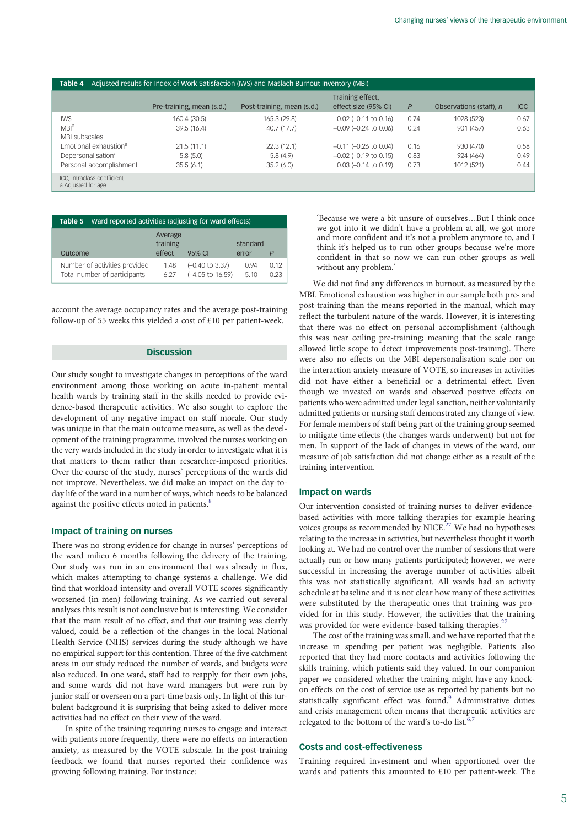<span id="page-4-0"></span>

| Adjusted results for Index of Work Satisfaction (IWS) and Maslach Burnout Inventory (MBI)<br>Table 4 |                           |                            |                                          |      |                         |            |  |  |
|------------------------------------------------------------------------------------------------------|---------------------------|----------------------------|------------------------------------------|------|-------------------------|------------|--|--|
|                                                                                                      | Pre-training, mean (s.d.) | Post-training, mean (s.d.) | Training effect,<br>effect size (95% CI) | P    | Observations (staff), n | <b>ICC</b> |  |  |
| <b>IWS</b>                                                                                           | 160.4 (30.5)              | 165.3 (29.8)               | $0.02$ (-0.11 to 0.16)                   | 0.74 | 1028 (523)              | 0.67       |  |  |
| MBI <sup>a</sup><br>MBI subscales                                                                    | 39.5 (16.4)               | 40.7 (17.7)                | $-0.09$ $(-0.24$ to $0.06)$              | 0.24 | 901 (457)               | 0.63       |  |  |
| Emotional exhaustion <sup>a</sup>                                                                    | 21.5(11.1)                | 22.3(12.1)                 | $-0.11$ $(-0.26$ to 0.04)                | 0.16 | 930 (470)               | 0.58       |  |  |
| Depersonalisation <sup>a</sup>                                                                       | 5.8(5.0)                  | 5.8(4.9)                   | $-0.02$ ( $-0.19$ to 0.15)               | 0.83 | 924 (464)               | 0.49       |  |  |
| Personal accomplishment                                                                              | 35.5(6.1)                 | 35.2(6.0)                  | $0.03$ (-0.14 to 0.19)                   | 0.73 | 1012 (521)              | 0.44       |  |  |
| ICC, intraclass coefficient.<br>a Adjusted for age.                                                  |                           |                            |                                          |      |                         |            |  |  |

|                                                               | <b>Table 5</b> Ward reported activities (adjusting for ward effects) |                                                           |                   |              |  |  |  |  |
|---------------------------------------------------------------|----------------------------------------------------------------------|-----------------------------------------------------------|-------------------|--------------|--|--|--|--|
| Outcome                                                       | Average<br>training<br>effect                                        | 95% CI                                                    | standard<br>error |              |  |  |  |  |
| Number of activities provided<br>Total number of participants | 1.48<br>6.27                                                         | $(-0.40 \text{ to } 3.37)$<br>$(-4.05 \text{ to } 16.59)$ | O 94<br>510       | 0.12<br>0.23 |  |  |  |  |

account the average occupancy rates and the average post-training follow-up of 55 weeks this yielded a cost of £10 per patient-week.

#### **Discussion**

Our study sought to investigate changes in perceptions of the ward environment among those working on acute in-patient mental health wards by training staff in the skills needed to provide evidence-based therapeutic activities. We also sought to explore the development of any negative impact on staff morale. Our study was unique in that the main outcome measure, as well as the development of the training programme, involved the nurses working on the very wards included in the study in order to investigate what it is that matters to them rather than researcher-imposed priorities. Over the course of the study, nurses' perceptions of the wards did not improve. Nevertheless, we did make an impact on the day-today life of the ward in a number of ways, which needs to be balanced against the positive effects noted in patients.<sup>[8](#page-5-0)</sup>

## Impact of training on nurses

There was no strong evidence for change in nurses' perceptions of the ward milieu 6 months following the delivery of the training. Our study was run in an environment that was already in flux, which makes attempting to change systems a challenge. We did find that workload intensity and overall VOTE scores significantly worsened (in men) following training. As we carried out several analyses this result is not conclusive but is interesting. We consider that the main result of no effect, and that our training was clearly valued, could be a reflection of the changes in the local National Health Service (NHS) services during the study although we have no empirical support for this contention. Three of the five catchment areas in our study reduced the number of wards, and budgets were also reduced. In one ward, staff had to reapply for their own jobs, and some wards did not have ward managers but were run by junior staff or overseen on a part-time basis only. In light of this turbulent background it is surprising that being asked to deliver more activities had no effect on their view of the ward.

In spite of the training requiring nurses to engage and interact with patients more frequently, there were no effects on interaction anxiety, as measured by the VOTE subscale. In the post-training feedback we found that nurses reported their confidence was growing following training. For instance:

'Because we were a bit unsure of ourselves…But I think once we got into it we didn't have a problem at all, we got more and more confident and it's not a problem anymore to, and I think it's helped us to run other groups because we're more confident in that so now we can run other groups as well without any problem.'

We did not find any differences in burnout, as measured by the MBI. Emotional exhaustion was higher in our sample both pre- and post-training than the means reported in the manual, which may reflect the turbulent nature of the wards. However, it is interesting that there was no effect on personal accomplishment (although this was near ceiling pre-training; meaning that the scale range allowed little scope to detect improvements post-training). There were also no effects on the MBI depersonalisation scale nor on the interaction anxiety measure of VOTE, so increases in activities did not have either a beneficial or a detrimental effect. Even though we invested on wards and observed positive effects on patients who were admitted under legal sanction, neither voluntarily admitted patients or nursing staff demonstrated any change of view. For female members of staff being part of the training group seemed to mitigate time effects (the changes wards underwent) but not for men. In support of the lack of changes in views of the ward, our measure of job satisfaction did not change either as a result of the training intervention.

#### Impact on wards

Our intervention consisted of training nurses to deliver evidencebased activities with more talking therapies for example hearing voices groups as recommended by NICE.<sup>27</sup> We had no hypotheses relating to the increase in activities, but nevertheless thought it worth looking at. We had no control over the number of sessions that were actually run or how many patients participated; however, we were successful in increasing the average number of activities albeit this was not statistically significant. All wards had an activity schedule at baseline and it is not clear how many of these activities were substituted by the therapeutic ones that training was provided for in this study. However, the activities that the training was provided for were evidence-based talking therapies.<sup>[27](#page-6-0)</sup>

The cost of the training was small, and we have reported that the increase in spending per patient was negligible. Patients also reported that they had more contacts and activities following the skills training, which patients said they valued. In our companion paper we considered whether the training might have any knockon effects on the cost of service use as reported by patients but no statistically significant effect was found.<sup>9</sup> Administrative duties and crisis management often means that therapeutic activities are relegated to the bottom of the ward's to-do list.<sup>6</sup>

# Costs and cost-effectiveness

Training required investment and when apportioned over the wards and patients this amounted to £10 per patient-week. The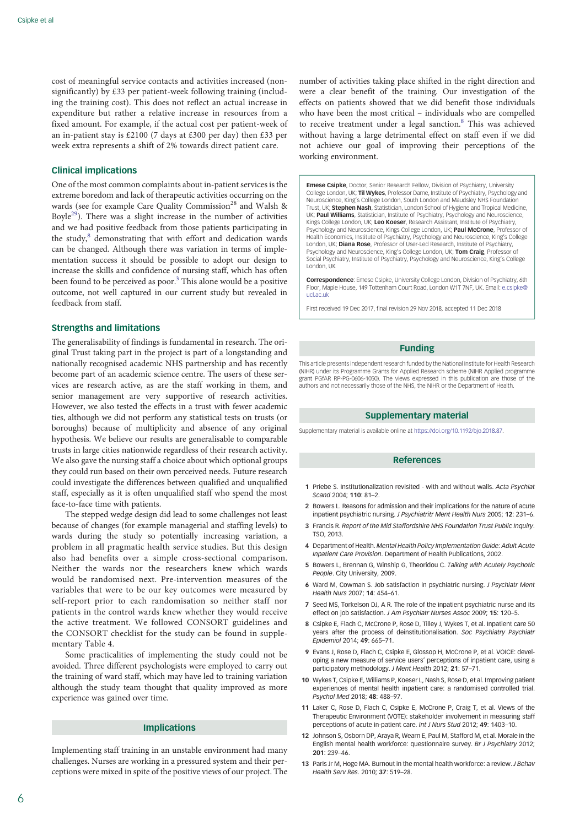<span id="page-5-0"></span>cost of meaningful service contacts and activities increased (nonsignificantly) by £33 per patient-week following training (including the training cost). This does not reflect an actual increase in expenditure but rather a relative increase in resources from a fixed amount. For example, if the actual cost per patient-week of an in-patient stay is £2100 (7 days at £300 per day) then £33 per week extra represents a shift of 2% towards direct patient care.

## Clinical implications

One of the most common complaints about in-patient services is the extreme boredom and lack of therapeutic activities occurring on the wards (see for example Care Quality Commission<sup>28</sup> and Walsh & Boyl[e29\)](#page-6-0). There was a slight increase in the number of activities and we had positive feedback from those patients participating in the study,<sup>8</sup> demonstrating that with effort and dedication wards can be changed. Although there was variation in terms of implementation success it should be possible to adopt our design to increase the skills and confidence of nursing staff, which has often been found to be perceived as poor.<sup>3</sup> This alone would be a positive outcome, not well captured in our current study but revealed in feedback from staff.

# Strengths and limitations

The generalisability of findings is fundamental in research. The original Trust taking part in the project is part of a longstanding and nationally recognised academic NHS partnership and has recently become part of an academic science centre. The users of these services are research active, as are the staff working in them, and senior management are very supportive of research activities. However, we also tested the effects in a trust with fewer academic ties, although we did not perform any statistical tests on trusts (or boroughs) because of multiplicity and absence of any original hypothesis. We believe our results are generalisable to comparable trusts in large cities nationwide regardless of their research activity. We also gave the nursing staff a choice about which optional groups they could run based on their own perceived needs. Future research could investigate the differences between qualified and unqualified staff, especially as it is often unqualified staff who spend the most face-to-face time with patients.

The stepped wedge design did lead to some challenges not least because of changes (for example managerial and staffing levels) to wards during the study so potentially increasing variation, a problem in all pragmatic health service studies. But this design also had benefits over a simple cross-sectional comparison. Neither the wards nor the researchers knew which wards would be randomised next. Pre-intervention measures of the variables that were to be our key outcomes were measured by self-report prior to each randomisation so neither staff nor patients in the control wards knew whether they would receive the active treatment. We followed CONSORT guidelines and the CONSORT checklist for the study can be found in supplementary Table 4.

Some practicalities of implementing the study could not be avoided. Three different psychologists were employed to carry out the training of ward staff, which may have led to training variation although the study team thought that quality improved as more experience was gained over time.

## Implications

Implementing staff training in an unstable environment had many challenges. Nurses are working in a pressured system and their perceptions were mixed in spite of the positive views of our project. The number of activities taking place shifted in the right direction and were a clear benefit of the training. Our investigation of the effects on patients showed that we did benefit those individuals who have been the most critical – individuals who are compelled to receive treatment under a legal sanction.<sup>8</sup> This was achieved without having a large detrimental effect on staff even if we did not achieve our goal of improving their perceptions of the working environment.

**Emese Csipke**, Doctor, Senior Research Fellow, Division of Psychiatry, University College London, UK; Til Wykes, Professor Dame, Institute of Psychiatry, Psychology and Neuroscience, King's College London, South London and Maudsley NHS Foundation Trust, UK; Stephen Nash, Statistician, London School of Hygiene and Tropical Medicine. UK; Paul Williams, Statistician, Institute of Psychiatry, Psychology and Neuroscience, Kings College London, UK; Leo Koeser, Research Assistant, Institute of Psychiatry, Psychology and Neuroscience, Kings College London, UK; Paul McCrone, Professor of Health Economics, Institute of Psychiatry, Psychology and Neuroscience, King's College London, UK; Diana Rose, Professor of User-Led Research, Institute of Psychiatry, Psychology and Neuroscience, King's College London, UK; Tom Craig, Professor of Social Psychiatry, Institute of Psychiatry, Psychology and Neuroscience, King's College London, UK

Correspondence: Emese Csipke, University College London, Division of Psychiatry, 6th Floor, Maple House, 149 Tottenham Court Road, London W1T 7NF, UK. Email: [e.csipke@](mailto:e.csipke@ucl.ac.uk) [ucl.ac.uk](mailto:e.csipke@ucl.ac.uk)

First received 19 Dec 2017, final revision 29 Nov 2018, accepted 11 Dec 2018

# Funding

This article presents independent research funded by the National Institute for Health Research (NIHR) under its Programme Grants for Applied Research scheme (NIHR Applied programme grant PGfAR RP-PG-0606-1050). The views expressed in this publication are those of the authors and not necessarily those of the NHS, the NIHR or the Department of Health.

## Supplementary material

Supplementary material is available online at <https://doi.org/10.1192/bjo.2018.87>.

#### References

- 1 Priebe S. Institutionalization revisited with and without walls. Acta Psychiat Scand 2004; 110: 81–2.
- 2 Bowers L. Reasons for admission and their implications for the nature of acute inpatient psychiatric nursing. J Psychiatritr Ment Health Nurs 2005; 12: 231–6.
- 3 Francis R. Report of the Mid Staffordshire NHS Foundation Trust Public Inquiry. TSO, 2013.
- 4 Department of Health. Mental Health Policy Implementation Guide: Adult Acute Inpatient Care Provision. Department of Health Publications, 2002.
- 5 Bowers L, Brennan G, Winship G, Theoridou C. Talking with Acutely Psychotic People. City University, 2009.
- 6 Ward M, Cowman S. Job satisfaction in psychiatric nursing. J Psychiatr Ment Health Nurs 2007; 14: 454–61.
- 7 Seed MS, Torkelson DJ, A R. The role of the inpatient psychiatric nurse and its effect on job satisfaction. J Am Psychiatr Nurses Assoc 2009; 15: 120–5.
- 8 Csipke E, Flach C, McCrone P, Rose D, Tilley J, Wykes T, et al. Inpatient care 50 years after the process of deinstitutionalisation. Soc Psychiatry Psychiatr Epidemiol 2014; 49: 665–71.
- 9 Evans J, Rose D, Flach C, Csipke E, Glossop H, McCrone P, et al. VOICE: developing a new measure of service users' perceptions of inpatient care, using a participatory methodology. J Ment Health 2012; 21: 57–71.
- 10 Wykes T, Csipke E, Williams P, Koeser L, Nash S, Rose D, et al. Improving patient experiences of mental health inpatient care: a randomised controlled trial. Psychol Med 2018; 48: 488–97.
- 11 Laker C, Rose D, Flach C, Csipke E, McCrone P, Craig T, et al. Views of the Therapeutic Environment (VOTE): stakeholder involvement in measuring staff perceptions of acute in-patient care. Int J Nurs Stud 2012; 49: 1403–10.
- 12 Johnson S, Osborn DP, Araya R, Wearn E, Paul M, Stafford M, et al. Morale in the English mental health workforce: questionnaire survey. Br J Psychiatry 2012; 201: 239–46.
- 13 Paris Jr M, Hoge MA. Burnout in the mental health workforce: a review. J Behav Health Serv Res. 2010; 37: 519–28.